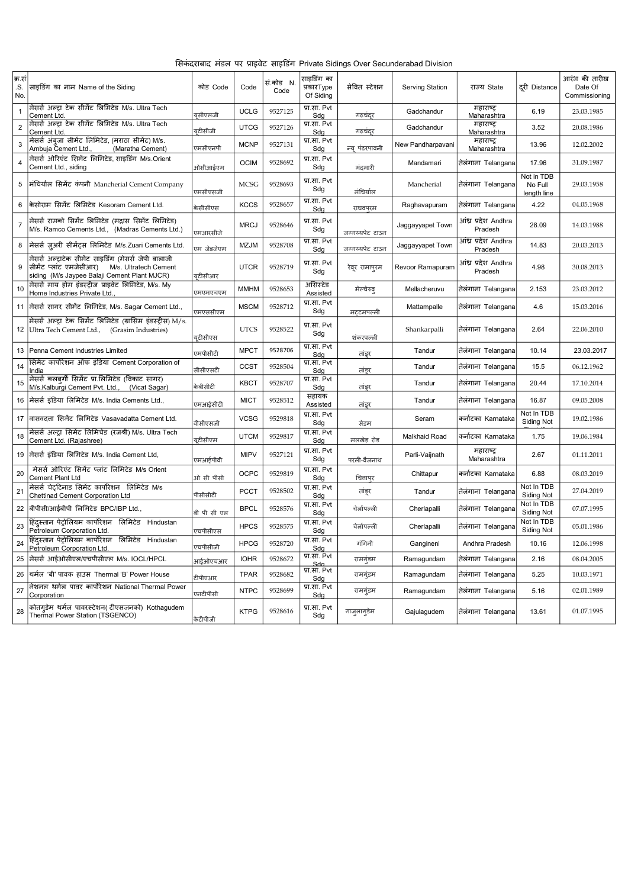|  |  |  | सिकंदराबाद मंडल पर प्राइवेट साइडिंग Private Sidings Over Secunderabad Division |  |
|--|--|--|--------------------------------------------------------------------------------|--|
|  |  |  |                                                                                |  |

| क्र.सं<br>.S.<br>No. | साइडिंग का नाम Name of the Siding                                                                                                                        | कोड Code    | Code        | सं.कोड N.<br>Code | साइडिंग का<br>प्रकारType<br>Of Siding         | सेवित स्टेशन    | <b>Serving Station</b> | राज्य State                    | दुरी Distance                        | आरंभ की तारीख<br>Date Of<br>Commissioning |
|----------------------|----------------------------------------------------------------------------------------------------------------------------------------------------------|-------------|-------------|-------------------|-----------------------------------------------|-----------------|------------------------|--------------------------------|--------------------------------------|-------------------------------------------|
| $\mathbf{1}$         | मेसर्स अल्ट्रा टेक सीमेंट लिमिटेड M/s. Ultra Tech<br>Cement Ltd.                                                                                         | यूसीएलजी    | <b>UCLG</b> | 9527125           | प्रा.सा. Pvt<br>Sdg                           | गढचंदूर         | Gadchandur             | महाराष्ट<br>Maharashtra        | 6.19                                 | 23.03.1985                                |
| $\overline{2}$       | मेसर्स अल्टा टेक सीमेंट लिमिटेड M/s. Ultra Tech<br>Cement Ltd.                                                                                           | युटीसीजी    | <b>UTCG</b> | 9527126           | प्रा.सा. Pvt<br>Sdg                           | गढ़चंदूर        | Gadchandur             | महाराष्ट्र<br>Maharashtra      | 3.52                                 | 20.08.1986                                |
| 3                    | मेसर्स अंबजा सीमेंट लिमिटेड, (मराठा सीमेंट) M/s.<br>Ambuja Cement Ltd.,<br>(Maratha Cement)                                                              | एमसीएनपी    | <b>MCNP</b> | 9527131           | प्रा.सा. Pvt<br>Sdg                           | न्य पंढरपावनी   | New Pandharpavani      | महाराष्ट्र<br>Maharashtra      | 13.96                                | 12.02.2002                                |
| $\overline{4}$       | मेसर्स ओरिएंट सिमेंट लिमिटेड, साइडिंग M/s.Orient<br>Cement Ltd., siding                                                                                  | ओसीआईएम     | <b>OCIM</b> | 9528692           | प्रा.सा. Pvt<br>Sdg                           | मंदमारी         | Mandamari              | तेलंगाना Telangana             | 17.96                                | 31.09.1987                                |
| 5                    | मंचिर्याल सिमेंट कंपनी Mancherial Cement Company                                                                                                         | एमसीएसजी    | <b>MCSG</b> | 9528693           | प्रा.सा. Pvt<br>Sdg                           | मंचिर्याल       | Mancherial             | तेलंगाना Telangana             | Not in TDB<br>No Full<br>length line | 29.03.1958                                |
| 6                    | केसोराम सिमेंट लिमिटेड Kesoram Cement Ltd.                                                                                                               | केसीसीएस    | <b>KCCS</b> | 9528657           | प्रा.सा. Pvt<br>Sdq                           | राघवपुरम        | Raghavapuram           | तेलंगाना Telangana             | 4.22                                 | 04.05.1968                                |
| $\overline{7}$       | मेसर्स रामको सिमेंट लिमिटेड (मद्रास सिमेंट लिमिटेड)<br>M/s. Ramco Cements Ltd., (Madras Cements Ltd.)                                                    | एमआरसीजे    | <b>MRCJ</b> | 9528646           | प्रा.सा. Pvt<br>Sdg                           | जग्गय्यपेट टाउन | Jaggayyapet Town       | आंध्र प्रदेश Andhra<br>Pradesh | 28.09                                | 14.03.1988                                |
| 8                    | मेसर्स ज़ुअरी सीमेंट्स लिमिटेड M/s.Zuari Cements Ltd.                                                                                                    | एम जेडजेएम  | <b>MZJM</b> | 9528708           | प्रा.सा. Pvt<br>Sdg                           | जग्गय्यपेट टाउन | Jaggayyapet Town       | आंध्र प्रदेश Andhra<br>Pradesh | 14.83                                | 20.03.2013                                |
| 9                    | मेसर्स अल्ट्राटेक सीमेंट साइडिंग (मेसर्स जेपी बालाजी<br>सीमेंट प्लांट एमजेसीआर)<br>M/s. Ultratech Cement<br>siding (M/s Jaypee Balaji Cement Plant MJCR) | युटीसीआर    | <b>UTCR</b> | 9528719           | प्रा.सा. Pvt<br>Sdg                           | रेवूर रामापुरम  | Revoor Ramapuram       | आंध्र प्रदेश Andhra<br>Pradesh | 4.98                                 | 30.08.2013                                |
| 10                   | मेसर्स माय होम इंडस्टीज प्राइवेट लिमिटेड, M/s. My<br>Home Industries Private Ltd.                                                                        | एमएमएचएम    | <b>MMHM</b> | 9528653           | असिस्टेड<br>Assisted                          | मेल्चेरुव्      | Mellacheruvu           | तेलंगाना Telangana             | 2.153                                | 23.03.2012                                |
| 11                   | मेसर्स सागर सीमेंट लिमिटेड, M/s. Sagar Cement Ltd.,                                                                                                      | एमएससीएम    | <b>MSCM</b> | 9528712           | प्रा.सा. Pvt<br>Sdg                           | मट्टमपल्ली      | Mattampalle            | तेलंगाना Telangana             | 4.6                                  | 15.03.2016                                |
| 12                   | मेसर्स अल्ट्रा टेक सिमेंट लिमिटेड (ग्रासिम इंडर्स्ट्रीस) M/s.<br>Ultra Tech Cement Ltd., (Grasim Industries)                                             | युटीसीएस    | <b>UTCS</b> | 9528522           | प्रा.सा. Pvt<br>Sdg                           | शंकरपल्ली       | Shankarpalli           | तेलंगाना Telangana             | 2.64                                 | 22.06.2010                                |
| 13                   | Penna Cement Industries Limited                                                                                                                          | एमपीसीटी    | <b>MPCT</b> | 9528706           | प्रा.सा. Pvt<br>Sdg                           | तांडूर          | Tandur                 | तेलंगाना Telangana             | 10.14                                | 23.03.2017                                |
| 14                   | सिमेंट कार्पोरेशन ऑफ इंडिया Cement Corporation of<br>India                                                                                               | सीसीएसटी    | <b>CCST</b> | 9528504           | प्रा.सा. Pvt<br>Sdg                           | तांडूर          | Tandur                 | तेलंगाना Telangana             | 15.5                                 | 06.12.1962                                |
| 15                   | मेसर्स कलबुर्गी सिमेंट प्रा.लिमिटेड (विकाट सागर)<br>M/s.Kalburgi Cement Pvt. Ltd., (Vicat Sagar)                                                         | केबीसीटी    | <b>KBCT</b> | 9528707           | प्रा.सा. Pvt<br>Sdg                           | तांडूर          | Tandur                 | तेलंगाना Telangana             | 20.44                                | 17.10.2014                                |
| 16                   | मेसर्स इंडिया लिमिटेड M/s. India Cements Ltd.,                                                                                                           | एमआईसीटी    | <b>MICT</b> | 9528512           | सहायक<br>Assisted                             | तांडूर          | Tandur                 | तेलंगाना Telangana             | 16.87                                | 09.05.2008                                |
| 17                   | वासवदत्ता सिमेंट लिमिटेड Vasavadatta Cement Ltd.                                                                                                         | वीसीएसजी    | <b>VCSG</b> | 9529818           | प्रा.सा. Pvt<br>Sdg                           | सेडम            | Seram                  | कर्नाटका Karnataka             | Not In TDB<br><b>Siding Not</b>      | 19.02.1986                                |
| 18                   | मेसर्स अल्ट्रा सिमेंट लिमिचेड (रजश्री) M/s. Ultra Tech<br>Cement Ltd. (Rajashree)                                                                        | युटीसीएम    | <b>UTCM</b> | 9529817           | प्रा.सा. Pvt<br>Sdg                           | मलखेड़ रोड      | Malkhaid Road          | कर्नाटका Karnataka             | 1.75                                 | 19.06.1984                                |
|                      | 19 मिसर्स इंडिया लिमिटेड M/s. India Cement Ltd,                                                                                                          | एमआईपीवी    | <b>MIPV</b> | 9527121           | प्रा.सा. Pvt<br>Sdg                           | परली-वैजनाथ     | Parli-Vaijnath         | महाराष्ट्र<br>Maharashtra      | 2.67                                 | 01.11.2011                                |
| 20                   | मेसर्स ओरिएंट सिमेंट प्लांट लिमिटेड M/s Orient<br><b>Cement Plant Ltd</b>                                                                                | ओ सी पीसी   | <b>OCPC</b> | 9529819           | प्रा.सा. Pvt<br>Sdg                           | चितापुर         | Chittapur              | कर्नाटका Karnataka             | 6.88                                 | 08.03.2019                                |
| 21                   | मेसर्स चेटटिनाड सिमेंट कार्पोरेशन  लिमिटेड M/s<br>Chettinad Cement Corporation Ltd                                                                       | पीसीसीटी    | <b>PCCT</b> | 9528502           | प्रा.सा. Pvt<br>Sdg                           | तांडूर          | Tandur                 | तेलंगाना Telangana             | Not In TDB<br><b>Siding Not</b>      | 27.04.2019                                |
| 22                   | बीपीसी/आईबीपी लिमिटेड BPC/IBP Ltd.,                                                                                                                      | बी पी सी एल | <b>BPCL</b> | 9528576           | प्रा.सा. Pvt<br>Sdg                           | चेर्लापल्ली     | Cherlapalli            | तेलंगाना Telangana             | Not In TDB<br><b>Siding Not</b>      | 07.07.1995                                |
| 23                   | हिंदुस्तान पेट्रोलियम कार्पोरेशन लिमिटेड Hindustan<br>Petroleum Corporation Ltd.                                                                         | एचपीसीएस    | <b>HPCS</b> | 9528575           | प्रा.सा. Pvt<br>Sdg                           | चेर्लापल्ली     | Cherlapalli            | तेलंगाना Telangana             | Not In TDB<br><b>Siding Not</b>      | 05.01.1986                                |
| 24                   | हिंदुस्तान पेट्रोलियम कार्पोरेशन लिमिटेड Hindustan<br>Petroleum Corporation Ltd.                                                                         | एचपीसीजी    | <b>HPCG</b> | 9528720           | प्रा.सा. Pvt<br>Sdg                           | गंगिनी          | Gangineni              | Andhra Pradesh                 | 10.16                                | 12.06.1998                                |
| 25                   | मेसर्स आईओसीएल/एचपीसीएल M/s. IOCL/HPCL                                                                                                                   | आईओएचआर     | <b>IOHR</b> | 9528672           | प्रा.सा. Pvt<br>Sda                           | रामगुंडम        | Ramagundam             | तेलंगाना Telangana             | 2.16                                 | 08.04.2005                                |
|                      | 26 थिर्मल 'बी' पावक हाउस Thermal 'B' Power House                                                                                                         | टीपीएआर     | <b>TPAR</b> | 9528682           | प्रा.सा. Pvt<br>Sdg                           | रामगुंडम        | Ramagundam             | तेलंगाना Telangana             | 5.25                                 | 10.03.1971                                |
| 27                   | नेशनल थर्मल पावर कार्पोरेशन National Thermal Power<br>Corporation                                                                                        | एनटीपीसी    | <b>NTPC</b> | 9528699           | प्रा.सा. Pvt<br>Sdg                           | रामगुंडम        | Ramagundam             | तेलंगाना Telangana             | 5.16                                 | 02.01.1989                                |
| 28                   | कोतगुडेम थर्मल पावरस्टेशन(टीएसजनको) Kothagudem<br> Thermal Power Station (TSGENCO)                                                                       | केटीपीजी    | <b>KTPG</b> | 9528616           | प्रा.सा. Pvt<br>$\operatorname{\mathsf{Sdg}}$ | गाजुलागुडेम     | Gajulagudem            | तेलंगाना Telangana             | 13.61                                | 01.07.1995                                |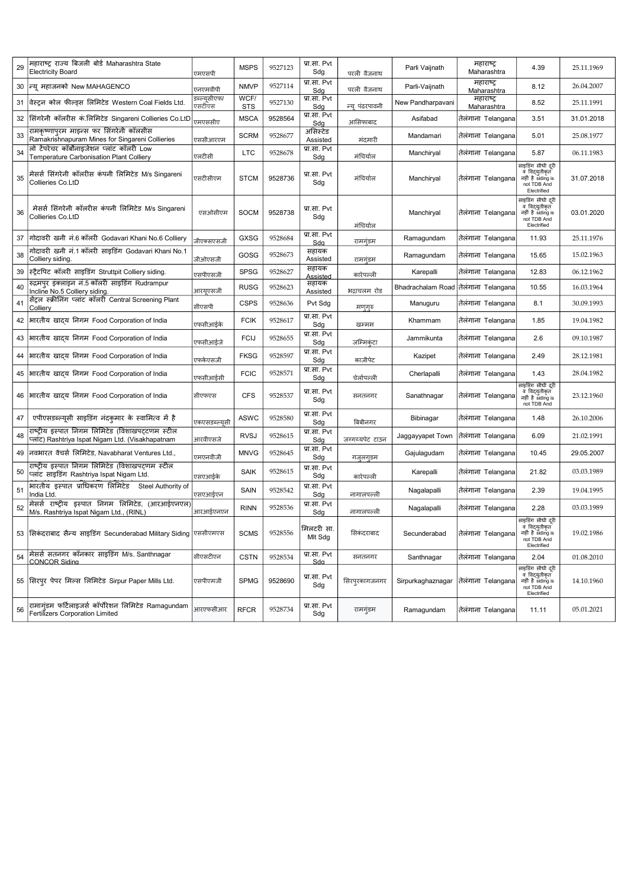| 29 | महाराष्ट्र राज्य बिजली बोर्ड Maharashtra State<br><b>Electricity Board</b>                            | एमएसपी                 | <b>MSPS</b>        | 9527123 | प्रा.सा. Pvt<br>Sdg      | परली वैजनाथ     | Parli Vaijnath                       | महाराष्ट्र<br>Maharashtra | 4.39                                                                                  | 25.11.1969 |
|----|-------------------------------------------------------------------------------------------------------|------------------------|--------------------|---------|--------------------------|-----------------|--------------------------------------|---------------------------|---------------------------------------------------------------------------------------|------------|
| 30 | न्यू महाजनको New MAHAGENCO                                                                            | एनएमवीपी               | <b>NMVP</b>        | 9527114 | प्रा.सा. Pvt<br>Sdq      | परली वैजनाथ     | Parli-Vaijnath                       | महाराष्ट्<br>Maharashtra  | 8.12                                                                                  | 26.04.2007 |
| 31 | वेस्ट्रन कोल फील्ड्स लिमिटेड Western Coal Fields Ltd                                                  | डब्ल्यूसीएफ/<br>एसटीएस | WCF/<br><b>STS</b> | 9527130 | प्रा.सा. Pvt<br>Sdg      | न्य पंढरपावनी   | New Pandharpavani                    | महाराष्ट्र<br>Maharashtra | 8.52                                                                                  | 25.11.1991 |
| 32 | सिंगरेनी कॉलरीस कं.लिमिटेड Singareni Collieries Co.LtD                                                | एमएससीए                | <b>MSCA</b>        | 9528564 | प्रा.सा. Pvt<br>Sdg      | आसिफाबाद        | Asifabad                             | तेलंगाना Telangana        | 3.51                                                                                  | 31.01.2018 |
| 33 | रामकृष्णापुरम माइन्स फर सिंगरेनी कॉलसीस<br>Ramakrishnapuram Mines for Singareni Collieries            | रससीआरएम               | <b>SCRM</b>        | 9528677 | असिस्टेड<br>Assisted     | मंदमारी         | Mandamari                            | तेलंगाना Telangana        | 5.01                                                                                  | 25.08.1977 |
| 34 | लो टेंपरेचर कॉर्बोनाइजेशन प्लांट कॉलरी Low<br>Temperature Carbonisation Plant Colliery                | एलटीसी                 | <b>LTC</b>         | 9528678 | प्रा.सा. Pvt<br>Sdg      | मंचिर्याल       | Manchiryal                           | तेलंगाना Telangana        | 5.87                                                                                  | 06.11.1983 |
| 35 | मेसर्स सिंगरेनी कॉलरीस कंपनी लिमिटेड M/s Singareni<br>Collieries Co.LtD                               | एसटीसीएम               | <b>STCM</b>        | 9528736 | प्रा.सा. Pvt<br>Sdg      | मंचिर्याल       | Manchiryal                           | तेलंगाना Telangana        | साइडिंग सीधी दुरी<br>व विद्युतीकृत<br>नहीं है siding is<br>not TDB And<br>Electrified | 31.07.2018 |
| 36 | मेसर्स सिंगरेनी कॉलरीस कंपनी लिमिटेड M/s Singareni<br>Collieries Co.LtD                               | एसओसीएम                | <b>SOCM</b>        | 9528738 | प्रा.सा. Pvt<br>Sdg      | मंचिर्याल       | Manchiryal                           | तेलंगाना Telangana        | साइडिंग सीधी दरी<br>वं विदयुतीकृत<br>नहीं है siding is<br>not TDB And<br>Electrified  | 03.01.2020 |
| 37 | गोदावरी खनी नं.6 कॉलरी Godavari Khani No.6 Colliery                                                   | जीएक्सएसजी             | <b>GXSG</b>        | 9528684 | प्रा.सा. Pvt<br>Sdg      | रामगृंडम        | Ramagundam                           | तेलंगाना Telangana        | 11.93                                                                                 | 25.11.1976 |
| 38 | गोदावरी खनी नं.1 कॉलरी साइडिंग Godavari Khani No.1<br>Colliery siding                                 | जीओएसजी                | GOSG               | 9528673 | सहायक<br>Assisted        | रामगृंडम        | Ramagundam                           | तेलंगाना Telangana        | 15.65                                                                                 | 15.02.1963 |
| 39 | स्टैटपिट कॉलरी साइडिंग Struttpit Colliery siding.                                                     | एसपीएसजी               | <b>SPSG</b>        | 9528627 | सहायक<br><u>Assisted</u> | कारेपल्ली       | Karepalli                            | तेलंगाना Telangana        | 12.83                                                                                 | 06.12.1962 |
| 40 | रुद्रमपुर इंक्लाइन नं.5 कॉलरी साइडिंग Rudrampur<br>Incline No.5 Colliery siding.                      | आरयुएसजी               | <b>RUSG</b>        | 9528623 | सहायक<br>Assisted        | भद्राचलम रोड    | Bhadrachalam Road तेलंगाना Telangana |                           | 10.55                                                                                 | 16.03.1964 |
| 41 | सेंट्रल स्क्रीनिंग प्लांट कॉलरी Central Screening Plant<br>Colliery                                   | सीएसपी                 | <b>CSPS</b>        | 9528636 | Pvt Sdg                  | मण्गुरु         | Manuguru                             | तेलंगाना Telangana        | 8.1                                                                                   | 30.09.1993 |
| 42 | भारतीय खादय निगम Food Corporation of India                                                            | एफसीआईके               | <b>FCIK</b>        | 9528617 | प्रा.सा. Pvt<br>Sdq      | खम्मम           | Khammam                              | तेलंगाना Telangana        | 1.85                                                                                  | 19.04.1982 |
| 43 | भारतीय खादय निगम Food Corporation of India                                                            | एफसीआईजे               | <b>FCIJ</b>        | 9528655 | प्रा.सा. Pvt<br>Sdg      | जम्मिकंटा       | Jammikunta                           | तेलंगाना Telangana        | 2.6                                                                                   | 09.10.1987 |
| 44 | भारतीय खादय निगम Food Corporation of India                                                            | एफकेएसजी               | <b>FKSG</b>        | 9528597 | प्रा.सा. Pvt<br>Sdg      | काजीपेट         | Kazipet                              | तेलंगाना Telangana        | 2.49                                                                                  | 28.12.1981 |
| 45 | भारतीय खादय निगम Food Corporation of India                                                            | एफसीआईसी               | <b>FCIC</b>        | 9528571 | प्रा.सा. Pvt<br>Sdg      | चेर्लापल्ली     | Cherlapalli                          | तेलंगाना Telangana        | 1.43                                                                                  | 28.04.1982 |
| 46 | भारतीय खादय निगम Food Corporation of India                                                            | सीएफएस                 | <b>CFS</b>         | 9528537 | प्रा.सा. Pvt<br>Sdg      | सनतनगर          | Sanathnagar                          | तेलगाना Telangana         | साइडिंग सीधी दूरी<br>वं विद्युतीकृत<br>नहीं है siding is<br>not TDB And               | 23.12.1960 |
| 47 | एपीएसडब्ल्यूसी साइडिंग नंदकुमार के स्वामित्व में है                                                   | एकएसडब्ल्युसी          | <b>ASWC</b>        | 9528580 | प्रा.सा. Pvt<br>Sdg      | बिबीनगर         | Bibinagar                            | तेलंगाना Telangana        | 1.48                                                                                  | 26.10.2006 |
| 48 | राष्ट्रीय इस्पात निगम लिमिटेड (विशाखपट्टणम स्टील<br>प्लांट) Rashtriya Ispat Nigam Ltd. (Visakhapatnam | आरवीएसजे               | <b>RVSJ</b>        | 9528615 | प्रा.सा. Pvt<br>Sdg      | जग्गय्यपेट टाउन | Jaggayyapet Town                     | तेलंगाना Telangana        | 6.09                                                                                  | 21.02.1991 |
| 49 | नवभारत वेंचर्स लिमिटेड, Navabharat Ventures Ltd.,                                                     | एमएनवीजी               | <b>MNVG</b>        | 9528645 | प्रा.सा. Pvt<br>Sdg      | गजलगडम          | Gajulagudam                          | तेलगाना Telangana         | 10.45                                                                                 | 29.05.2007 |
| 50 | राष्ट्रीय इस्पात निगम लिमिटेड (विशाखपटणम स्टील<br>प्लाट साइडिंग Rashtriya Ispat Nigam Ltd.            | एसएआईके                | <b>SAIK</b>        | 9528615 | प्रा.सा. Pvt<br>Sdg      | कारेपल्ली       | Karepalli                            | तेलंगाना Telangana        | 21.82                                                                                 | 03.03.1989 |
| 51 | भारतीय इस्पात प्राधिकरण लिमिटेड Steel Authority of<br>India Ltd.                                      | एसएआईएन                | SAIN               | 9528542 | प्रा.सा. Pvt<br>Sdg      | नागालपल्ली      | Nagalapalli                          | तेलंगाना Telangana        | 2.39                                                                                  | 19.04.1995 |
| 52 | मेसर्स राष्ट्रीय इस्पात निगम लिमिटेड, (आरआईएनएल)<br>M/s. Rashtriya Ispat Nigam Ltd., (RINL)           | आरआईएनएन               | <b>RINN</b>        | 9528536 | प्रा.सा. Pvt<br>Sdg      | नागालपल्ली      | Nagalapalli                          | तेलंगाना Telangana        | 2.28                                                                                  | 03.03.1989 |
|    | 53  सिकंदराबाद सैन्य साइडिंग Secunderabad Military Siding  एससीएमएस                                   |                        | <b>SCMS</b>        | 9528556 | मिलटरी सा<br>Mlt Sdg     | सिकंदराबाद      | Secunderabad                         | तेलगाना Telangana         | साइडिंग सीधी दूरी<br>व विदयतीकत<br>नहीं है siding is<br>not TDB And<br>Electrified    | 19.02.1986 |
| 54 | मेसर्स सतनगर कॉनकार साइडिंग M/s. Santhnagar<br><b>CONCOR Sidina</b>                                   | सीएसटीएन               | <b>CSTN</b>        | 9528534 | प्रा.सा. Pvt<br>Sda      | सनतनगर          | Santhnagar                           | तेलंगाना Telangana        | 2.04                                                                                  | 01.08.2010 |
|    | 55 सिरपुर पेपर मिल्स लिमिटेड Sirpur Paper Mills Ltd.                                                  | एसपीएमजी               | <b>SPMG</b>        | 9528690 | प्रा.सा. Pvt<br>Sdg      | सिरपुरकागजनगर   | Sirpurkaghaznagar                    | तेलंगाना Telangana        | साइडिंग सीधी दूरी<br>ंव विदयुतीकृत<br>नहीं है siding is<br>not TDB And<br>Electrified | 14.10.1960 |
| 56 | रामागुंडम फर्टिलाइजर्स कॉर्पोरेशन लिमिटेड Ramagundam<br>Fertilizers Corporation Limited               | आरएफसीआर               | <b>RFCR</b>        | 9528734 | प्रा.सा. Pvt<br>Sdg      | रामगुंडम        | Ramagundam                           | तेलंगाना Telangana        | 11.11                                                                                 | 05.01.2021 |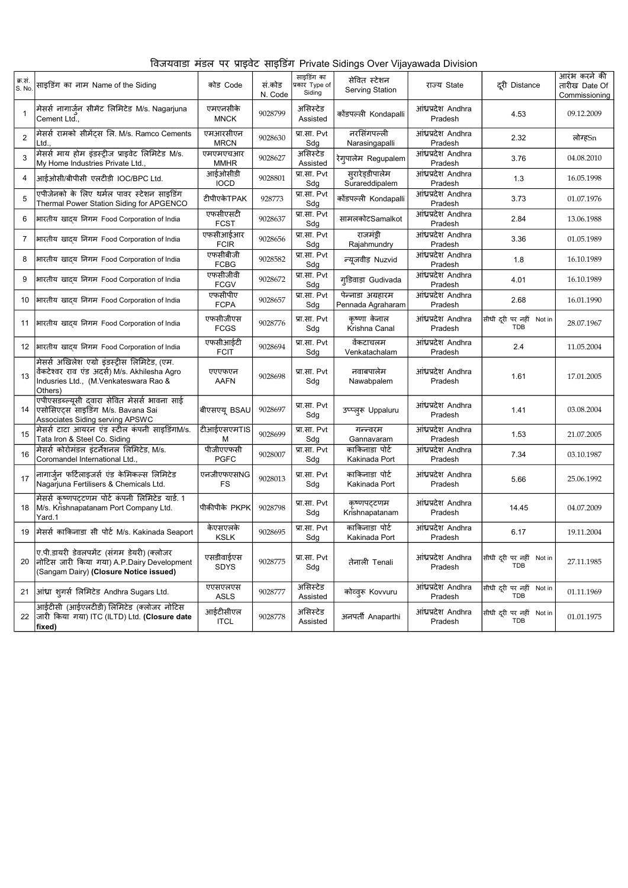|  |  | विजयवाडा मंडल पर प्राइवेट साइडिंग Private Sidings Over Vijayawada Division |  |  |
|--|--|----------------------------------------------------------------------------|--|--|
|  |  |                                                                            |  |  |
|  |  |                                                                            |  |  |
|  |  |                                                                            |  |  |

| क्र.स.<br>S. No. | साइडिंग का नाम Name of the Siding                                                                                                                 | कोड Code                 | सं.कोड<br>N. Code | साइडिंग का<br>प्रकार Type of<br>Siding | सेवित स्टेशन<br>Serving Station        | राज्य State                   | दूरी Distance                          | आरंभ करने की<br>तारीख Date Of<br>Commissioning |
|------------------|---------------------------------------------------------------------------------------------------------------------------------------------------|--------------------------|-------------------|----------------------------------------|----------------------------------------|-------------------------------|----------------------------------------|------------------------------------------------|
| $\mathbf{1}$     | मेसर्स नागार्जुन सीमेंट लिमिटेड M/s. Nagarjuna<br>Cement Ltd.,                                                                                    | एमएनसीके<br><b>MNCK</b>  | 9028799           | असिस्टेड<br>Assisted                   | कोंडपल्ली Kondapalli                   | आंध्रप्रदेश Andhra<br>Pradesh | 4.53                                   | 09.12.2009                                     |
| 2                | मेसर्स रामको सीमेंट्स लि. M/s. Ramco Cements<br>Ltd.                                                                                              | एमआरसीएन<br><b>MRCN</b>  | 9028630           | प्रा.सा. Pvt<br>Sdg                    | नरसिंगपल्ली<br>Narasingapalli          | आंध्रप्रदेश Andhra<br>Pradesh | 2.32                                   | लोग्हSn                                        |
| 3                | मेसर्स माय होम इंडस्ट्रीज प्राइवेट लिमिटेड M/s.<br>My Home Industries Private Ltd.,                                                               | एमएमएचआर<br><b>MMHR</b>  | 9028627           | असिस्टेड<br>Assisted                   | रेगुपालेम Regupalem                    | आंध्रप्रदेश Andhra<br>Pradesh | 3.76                                   | 04.08.2010                                     |
| 4                | आईओसी/बीपीसी एलटीडी IOC/BPC Ltd.                                                                                                                  | आईओसीडी<br><b>IOCD</b>   | 9028801           | प्रा.सा. Pvt<br>Sdg                    | सुरारेड्डीपालेम<br>Surareddipalem      | आंध्रप्रदेश Andhra<br>Pradesh | 1.3                                    | 16.05.1998                                     |
| 5                | एपीजेनको के लिए थर्मल पावर स्टेशन साइडिंग<br>Thermal Power Station Siding for APGENCO                                                             | टीपीएकेTPAK              | 928773            | प्रा.सा. Pvt<br>Sdg                    | कोंडपल्ली Kondapalli                   | आंध्रप्रदेश Andhra<br>Pradesh | 3.73                                   | 01.07.1976                                     |
| 6                | भारतीय खाद्य निगम Food Corporation of India                                                                                                       | एफसीएसटी<br><b>FCST</b>  | 9028637           | प्रा.सा. Pvt<br>Sdg                    | सामलकोटSamalkot                        | आंध्रप्रदेश Andhra<br>Pradesh | 2.84                                   | 13.06.1988                                     |
| 7                | भारतीय खादय निगम Food Corporation of India                                                                                                        | एफसीआईआर<br><b>FCIR</b>  | 9028656           | प्रा.सा. Pvt<br>Sdg                    | राजमंडी<br>Rajahmundry                 | आंध्रप्रदेश Andhra<br>Pradesh | 3.36                                   | 01.05.1989                                     |
| 8                | भारतीय खादय निगम Food Corporation of India                                                                                                        | एफसीबीजी<br><b>FCBG</b>  | 9028582           | प्रा.सा. Pvt<br>Sdg                    | न्यूजवीड़ Nuzvid                       | आंध्रप्रदेश Andhra<br>Pradesh | 1.8                                    | 16.10.1989                                     |
| 9                | भारतीय खादय निगम Food Corporation of India                                                                                                        | एफसीजीवी<br><b>FCGV</b>  | 9028672           | प्रा.सा. Pvt<br>Sdg                    | गुडिवाड़ा Gudivada                     | आंध्रप्रदेश Andhra<br>Pradesh | 4.01                                   | 16.10.1989                                     |
| 10               | भारतीय खादय निगम Food Corporation of India                                                                                                        | एफसीपीए<br><b>FCPA</b>   | 9028657           | प्रा.सा. Pvt<br>Sdg                    | पेन्नाडा अग्रहारम<br>Pennada Agraharam | आंध्रप्रदेश Andhra<br>Pradesh | 2.68                                   | 16.01.1990                                     |
| 11               | भारतीय खादय निगम Food Corporation of India                                                                                                        | एफसीजीएस<br><b>FCGS</b>  | 9028776           | प्रा.सा. Pvt<br>Sdg                    | कष्णा केनाल<br>Krishna Canal           | आंध्रप्रदेश Andhra<br>Pradesh | सीधी दूरी पर नहीं Not in<br><b>TDB</b> | 28.07.1967                                     |
|                  | 12   भारतीय खादय निगम Food Corporation of India                                                                                                   | एफसीआईटी<br><b>FCIT</b>  | 9028694           | प्रा.सा. Pvt<br>Sdg                    | वेंकटाचलम<br>Venkatachalam             | आंध्रप्रदेश Andhra<br>Pradesh | 2.4                                    | 11.05.2004                                     |
| 13               | मेसर्स अखिलेश एग्रो इंडस्ट्रीस लिमिटेड, (एम.<br>वेंकटेश्वर राव एंड अदर्स) M/s. Akhilesha Agro<br>Indusries Ltd., (M.Venkateswara Rao &<br>Others) | एएएफएन<br><b>AAFN</b>    | 9028698           | प्रा.सा. Pvt<br>Sdg                    | नवाबपालेम<br>Nawabpalem                | आंध्रप्रदेश Andhra<br>Pradesh | 1.61                                   | 17.01.2005                                     |
| 14               | एपीएसडब्ल्यूसी द्वारा सेवित मेसर्स भावना साई<br>एसोसिएट्स साइडिंग M/s. Bavana Sai<br>Associates Siding serving APSWC                              | बीएसएयू BSAU             | 9028697           | प्रा.सा. Pvt<br>Sdg                    | उप्प्लूरू Uppaluru                     | आंध्रप्रदेश Andhra<br>Pradesh | 1.41                                   | 03.08.2004                                     |
| 15               | मेसर्स टाटा आयरन एंड स्टील कंपनी साइडिंगM/s.<br>Tata Iron & Steel Co. Siding                                                                      | टीआईएसएमTIS<br>М         | 9028699           | प्रा.सा. Pvt<br>Sdg                    | गन्न्वरम<br>Gannavaram                 | आंध्रप्रदेश Andhra<br>Pradesh | 1.53                                   | 21.07.2005                                     |
| 16               | मेसर्स कोरोमंडल इंटर्नेशनल लिमिटेड, M/s.<br>Coromandel International Ltd                                                                          | पीजीएएफसी<br><b>PGFC</b> | 9028007           | प्रा.सा. Pvt<br>Sdg                    | काकिनाडा पोर्ट<br>Kakinada Port        | आंध्रप्रदेश Andhra<br>Pradesh | 7.34                                   | 03.10.1987                                     |
| 17               | नागार्जुन फर्टिलाइजर्स एंड केमिकल्स लिमिटेड<br>Nagariuna Fertilisers & Chemicals Ltd.                                                             | एनजीएफएसNG<br><b>FS</b>  | 9028013           | प्रा.सा. Pvt<br>Sdg                    | काकिनाडा पोर्ट<br>Kakinada Port        | आंध्रप्रदेश Andhra<br>Pradesh | 5.66                                   | 25.06.1992                                     |
| 18               | मेसर्स कृष्णपट्टणम पोर्ट कंपनी लिमिटेड यार्ड. 1<br>M/s. Krishnapatanam Port Company Ltd.<br>Yard.1                                                | पीकीपीके PKPK            | 9028798           | प्रा.सा. Pvt<br>Sdg                    | कृष्णपट्टणम<br>Krishnapatanam          | आंध्रप्रदेश Andhra<br>Pradesh | 14.45                                  | 04.07.2009                                     |
| 19               | मेसर्स काकिनाडा सी पोर्ट M/s. Kakinada Seaport                                                                                                    | केएसएलके<br><b>KSLK</b>  | 9028695           | प्रा.सा. Pvt<br>Sdg                    | काकिनाडा पोर्ट<br>Kakinada Port        | आंध्रप्रदेश Andhra<br>Pradesh | 6.17                                   | 19.11.2004                                     |
| 20               | ए.पी.डायरी डेवलपमेंट (संगम डेयरी) (क्लोजर<br>नोटिस जारी किया गया) A.P.Dairy Development<br>(Sangam Dairy) (Closure Notice issued)                 | एसडीवाईएस<br>SDYS        | 9028775           | प्रा.सा. Pvt<br>Sdg                    | तेनाली Tenali                          | आंध्रप्रदेश Andhra<br>Pradesh | सीधी दूरी पर नहीं Notin<br><b>TDB</b>  | 27.11.1985                                     |
| 21               | आंध्रा शूगर्स लिमिटेड Andhra Sugars Ltd.                                                                                                          | एएसएलएस<br><b>ASLS</b>   | 9028777           | असिस्टेड<br>Assisted                   | कोव्व्र Kovvuru                        | आंध्रप्रदेश Andhra<br>Pradesh | सीधी दुरी पर नहीं Not in<br><b>TDB</b> | 01.11.1969                                     |
| 22               | आईटीसी (आईएलटीडी) लिमिटेड (क्लोजर नोटिस<br> जारी किया गया) ITC (ILTD) Ltd. (Closure date<br>fixed)                                                | आईटीसीएल<br><b>ITCL</b>  | 9028778           | असिस्टेड<br>Assisted                   | अनपर्ती Anaparthi                      | आंध्रप्रदेश Andhra<br>Pradesh | सीधी दूरी पर नहीं Not in<br>TDB        | 01.01.1975                                     |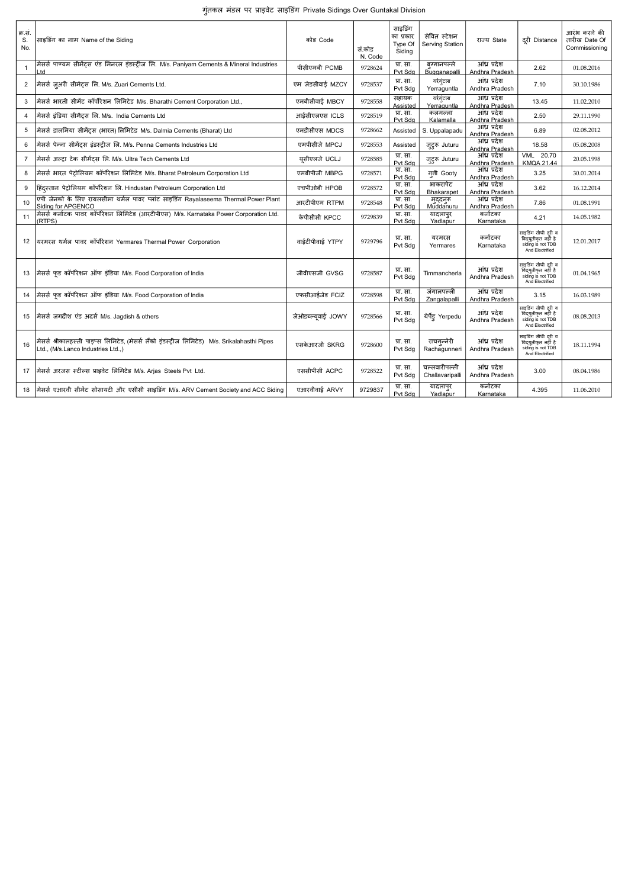|  |  |  |  | गूंतकल मंडल पर प्राइवेट साइडिंग Private Sidings Over Guntakal Division |
|--|--|--|--|------------------------------------------------------------------------|
|--|--|--|--|------------------------------------------------------------------------|

| क्र.सं.<br>S.<br>No. | साइडिंग का नाम Name of the Siding                                                                                                  | कोड़ Code           | सं.कोड<br>N. Code | साइडिंग<br>का प्रकार<br>Type Of<br>Sidina | सेवित स्टेशन<br>Serving Station  | राज्य State                    | दरी Distance                                                                       | आरंभ करने की<br>तारीख Date Of<br>Commissioning |
|----------------------|------------------------------------------------------------------------------------------------------------------------------------|---------------------|-------------------|-------------------------------------------|----------------------------------|--------------------------------|------------------------------------------------------------------------------------|------------------------------------------------|
| $\mathbf{1}$         | मेसर्स पाण्यम सीमेंट्स एंड मिनरल इंडस्ट्रीज लि. M/s. Paniyam Cements & Mineral Industries<br>Ltd                                   | पीसीएमबी PCMB       | 9728624           | प्रा. सा.<br>Pvt Sdg                      | बग्गानपल्ले<br>Bugganapalli      | आंध्र प्रदेश<br>Andhra Pradesh | 2.62                                                                               | 01.08.2016                                     |
| $\overline{2}$       | मेसर्स ज़ुअरी सीमेंट्स लि. M/s. Zuari Cements Ltd.                                                                                 | एम जेडसीवाई MZCY    | 9728537           | प्रा. सा.<br>Pvt Sdg                      | यर्रग्ंटला<br>Yerraguntla        | आंध्र प्रदेश<br>Andhra Pradesh | 7.10                                                                               | 30.10.1986                                     |
| 3                    | मेसर्स भारती सीमेंट कॉर्पोरेशन लिमिटेड M/s. Bharathi Cement Corporation Ltd.,                                                      | एमबीसीवार्ड MBCY    | 9728558           | सहायक<br>Assisted                         | यर्शगुंटला<br>Yerraguntla        | आंध प्रदेश<br>Andhra Pradesh   | 13.45                                                                              | 11.02.2010                                     |
| 4                    | मेसर्स इंडिया सीमेंटस लि. M/s. India Cements Ltd                                                                                   | आईसीएलएस ICLS       | 9728519           | प्रा. सा.<br>Pvt Sda                      | कलमल्ला<br>Kalamalla             | आंध्र प्रदेश<br>Andhra Pradesh | 2.50                                                                               | 29.11.1990                                     |
| 5                    | मेसर्स डालमिया सीमेंट्स (भारत) लिमिटेड M/s. Dalmia Cements (Bharat) Ltd                                                            | एमडीसीएस MDCS       | 9728662           | Assisted                                  | S. Uppalapadu                    | आंध्र प्रदेश<br>Andhra Pradesh | 6.89                                                                               | 02.08.2012                                     |
| 6                    | मेसर्स पेन्ना सीमेंट्स इंडस्ट्रीज लि. M/s. Penna Cements Industries Ltd                                                            | एमपीसीजे MPCJ       | 9728553           | Assisted                                  | जुट्रू Juturu                    | आंध्र प्रदेश<br>Andhra Pradesh | 18.58                                                                              | 05.08.2008                                     |
| $\overline{7}$       | मेसर्स अल्टा टेक सीमेंटस लि. M/s. Ultra Tech Cements Ltd                                                                           | यसीएलजे UCLJ        | 9728585           | प्रा. सा.<br>Pvt Sda                      | जुट्रू Juturu                    | आंध्र प्रदेश<br>Andhra Pradesh | VML 20.70<br><b>KMQA 21.44</b>                                                     | 20.05.1998                                     |
| 8                    | मेसर्स भारत पेट्रोलियम कॉर्पोरेशन लिमिटेड M/s. Bharat Petroleum Corporation Ltd                                                    | एमबीपीजी MBPG       | 9728571           | प्रा. सा.<br>Pvt Sda                      | गती Gooty                        | आंध्र प्रदेश<br>Andhra Pradesh | 3.25                                                                               | 30.01.2014                                     |
| 9                    | हिंदस्तान पेट्रोलियम कॉर्पोरेशन लि. Hindustan Petroleum Corporation Ltd                                                            | एचपीओबी HPOB        | 9728572           | प्रा. सा.<br>Pvt Sda                      | भाकरापेट<br>Bhakarapet           | आंध्र प्रदेश<br>Andhra Pradesh | 3.62                                                                               | 16.12.2014                                     |
| 10                   | एपी जेनको के लिए रायलसीमा थर्मल पावर प्लांट साइडिंग Rayalaseema Thermal Power Plant<br>Siding for APGENCO                          | आरटीपीएम RTPM       | 9728548           | प्रा. सा.<br>Pvt Sda                      | मुद्दनुरू<br>Muddanuru           | आंध्र प्रदेश<br>Andhra Pradesh | 7.86                                                                               | 01.08.1991                                     |
| 11                   | मेसर्स कर्नाटक पावर कॉर्पोरेशन लिमिटेड (आरटीपीएस) M/s. Karnataka Power Corporation Ltd.<br>(RTPS)                                  | केपीसीसी KPCC       | 9729839           | प्रा. सा.<br>Pvt Sda                      | यादलापुर<br>Yadlapur             | कर्नाटका<br>Karnataka          | 4.21                                                                               | 14.05.1982                                     |
| 12                   | यरमरस थर्मल पावर कॉर्पोरेशन Yermares Thermal Power Corporation                                                                     | वार्डटीपीवार्ड YTPY | 9729796           | प्रा. सा.<br>Pvt Sdg                      | यरमरस<br>Yermares                | कर्नाटका<br>Karnataka          | साइडिंग सीधी दूरी व<br>विद्युतीकृत नहीं है<br>siding is not TDB<br>And Electrified | 12.01.2017                                     |
|                      | 13  मेसर्स फुड कॉर्पोरेशन ऑफ इंडिया M/s. Food Corporation of India                                                                 | जीवीएसजी GVSG       | 9728587           | प्रा. सा.<br>Pvt Sdg                      | Timmancherla                     | आंध्र प्रदेश<br>Andhra Pradesh | साइडिंग सीधी दरी व<br>विदयतीकृत नहीं है<br>siding is not TDB<br>And Electrified    | 01.04.1965                                     |
| 14                   | मेसर्स फुड कॉर्पोरेशन ऑफ इंडिया M/s. Food Corporation of India                                                                     | एफसीआईजेड FCIZ      | 9728598           | प्रा. सा.<br>Pvt Sda                      | जंगालपल्ली<br>Zangalapalli       | आंध्र प्रदेश<br>Andhra Pradesh | 3.15                                                                               | 16.03.1989                                     |
| 15                   | मेसर्स जगदीश एंड अदर्स M/s. Jagdish & others                                                                                       | जेओडब्ल्यवाई JOWY   | 9728566           | प्रा. सा.<br>Pvt Sdg                      | येर्पेड़ Yerpedu                 | आंध्र प्रदेश<br>Andhra Pradesh | साइडिंग सीधी दरी व<br>विद्युतीकृत नहीं है<br>siding is not TDB<br>And Electrified  | 08.08.2013                                     |
| 16                   | मेसर्स श्रीकालहस्ती पाइप्स लिमिटेड, (मेसर्स लैंको इंडस्टीज लिमिटेड) M/s. Srikalahasthi Pipes<br>.td., (M/s.Lanco Industries Ltd.,) | एसकेआरजी SKRG       | 9728600           | प्रा. सा.<br>Pvt Sdg                      | राचगन्नेरी<br>Rachagunneri       | आंध्र प्रदेश<br>Andhra Pradesh | साइडिंग सीधी दूरी व<br>विदयुतीकृत नहीं है<br>siding is not TDB<br>And Electrified  | 18.11.1994                                     |
|                      | 17  मेसर्स अरजस स्टील्स प्राइवेट लिमिटेड M/s. Arias Steels Pvt Ltd.                                                                | एससीपीसी ACPC       | 9728522           | प्रा. सा.<br>Pvt Sdg                      | चल्लवारीपल्ली<br>Challavaripalli | आंध प्रदेश<br>Andhra Pradesh   | 3.00                                                                               | 08.04.1986                                     |
| 18                   | मैसर्स एआरवी सीमेंट सोसायटी और एसीसी साइडिंग M/s. ARV Cement Society and ACC Siding                                                | एआरवीवाई ARVY       | 9729837           | प्रा. सा.<br>Pvt Sdg                      | यादलापुर<br>Yadlapur             | कर्नाटका<br>Karnataka          | 4.395                                                                              | 11.06.2010                                     |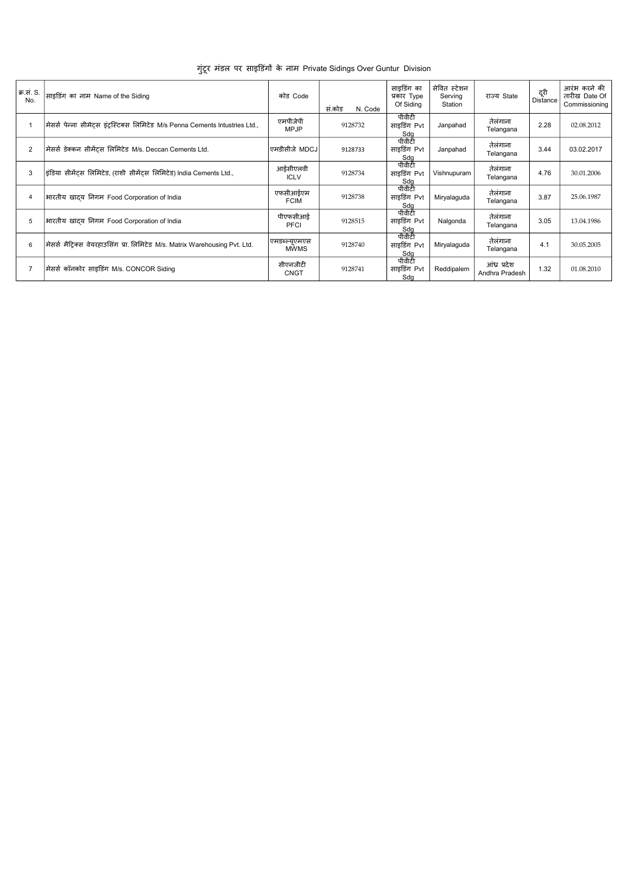| क्र.सं. S.<br>No. | साइडिंग का नाम Name of the Siding                                           | कोड Code                     | सं.कोड<br>N. Code | साइडिंग का<br>प्रकार Type<br>Of Siding        | सेवित स्टेशन<br>Servina<br>Station | राज्य State                    | दूरी<br>Distance | आरंभ करने की<br>तारीख Date Of<br>Commissioning |
|-------------------|-----------------------------------------------------------------------------|------------------------------|-------------------|-----------------------------------------------|------------------------------------|--------------------------------|------------------|------------------------------------------------|
|                   | मेसर्स पेन्ना सीमेंटस इंटस्टिक्स लिमिटेड M/s Penna Cements Intustries Ltd., | एमपीजेपी<br><b>MPJP</b>      | 9128732           | पीवीटी<br>साइडिंग Pvt<br>Sdq                  | Janpahad                           | तेलंगाना<br>Telangana          | 2.28             | 02.08.2012                                     |
| $\overline{2}$    | मेसर्स डेक्कन सीमेंट्स लिमिटेड M/s. Deccan Cements Ltd.                     | एमडीसीजे MDCJ                | 9128733           | पीवीटी<br>साइडिंग Pvt<br>Sdg                  | Janpahad                           | तेलंगाना<br>Telangana          | 3.44             | 03.02.2017                                     |
| 3                 | इंडिया सीमेंटस लिमिटेड, (राशी सीमेंटस लिमिटेड) India Cements Ltd.,          | आईसीएलवी<br><b>ICLV</b>      | 9128734           | पीवीटी<br>साइडिंग Pvt<br>Sdg                  | Vishnupuram                        | तेलंगाना<br>Telangana          | 4.76             | 30.01.2006                                     |
| 4                 | भारतीय खादय निगम Food Corporation of India                                  | एफसीआईएम<br><b>FCIM</b>      | 9128738           | पीवीटी<br>साइडिंग Pvt<br><u>Sdg</u><br>पीवीटी | Miryalaguda                        | तेलंगाना<br>Telangana          | 3.87             | 25.06.1987                                     |
| 5                 | भारतीय खादय निगम Food Corporation of India                                  | पीएफसीआई<br><b>PFCI</b>      | 9128515           | साइडिंग Pvt<br><u>Sdg</u><br>पीवीटी           | Nalgonda                           | तेलंगाना<br>Telangana          | 3.05             | 13.04.1986                                     |
| 6                 | मेसर्स मैटिक्स वेयरहाउसिंग प्रा. लिमिटेड M/s. Matrix Warehousing Pvt. Ltd.  | एमडब्ल्यूएमएस<br><b>MWMS</b> | 9128740           | साइडिंग Pvt<br>Sdg                            | Miryalaguda                        | तेलंगाना<br>Telangana          | 4.1              | 30.05.2005                                     |
| $\overline{7}$    | मिसर्स कॉनकोर साइडिंग M/s. CONCOR Siding                                    | सीएनजीटी<br><b>CNGT</b>      | 9128741           | पीवीटी<br>साइडिंग Pvt<br>Sdg                  | Reddipalem                         | आंध्र प्रदेश<br>Andhra Pradesh | 1.32             | 01.08.2010                                     |

गुंटूर मंडल पर साइडिंगों के नाम Private Sidings Over Guntur Division